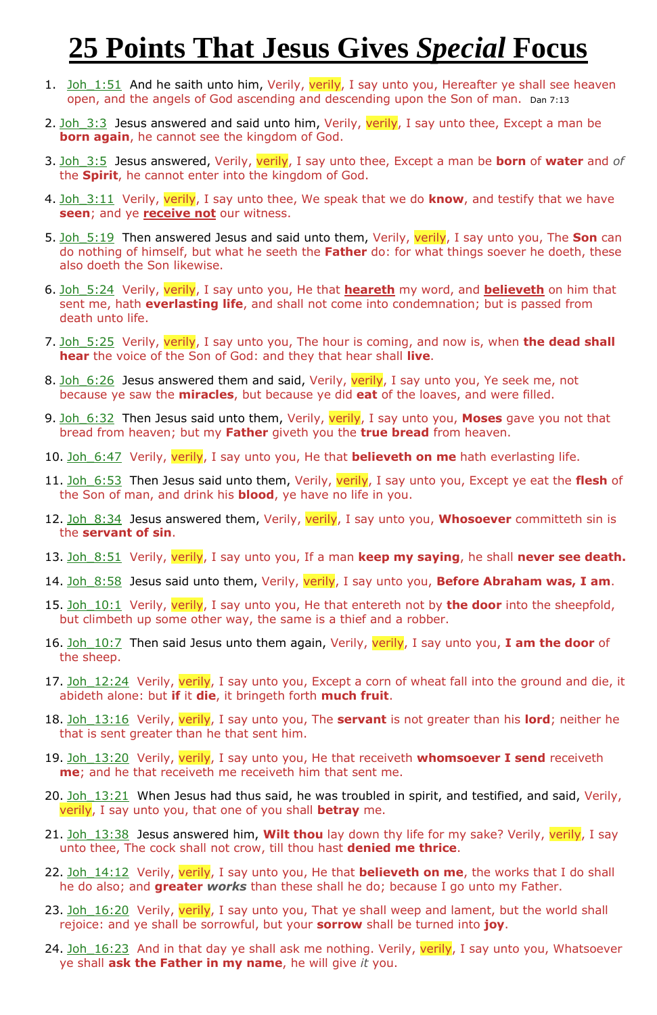## **25 Points That Jesus Gives** *Special* **Focus**

- 1. Joh 1:51 And he saith unto him, Verily, verily, I say unto you, Hereafter ye shall see heaven open, and the angels of God ascending and descending upon the Son of man. Dan 7:13
- 2. Joh  $3:3$  Jesus answered and said unto him, Verily, verily, I say unto thee, Except a man be **born again**, he cannot see the kingdom of God.
- 3. Joh\_3:5 Jesus answered, Verily, verily, I say unto thee, Except a man be **born** of **water** and *of* the **Spirit**, he cannot enter into the kingdom of God.
- 4. Joh 3:11 Verily, verily, I say unto thee, We speak that we do **know**, and testify that we have **seen**; and ye **receive not** our witness.
- 5. Joh\_5:19 Then answered Jesus and said unto them, Verily, verily, I say unto you, The **Son** can do nothing of himself, but what he seeth the **Father** do: for what things soever he doeth, these also doeth the Son likewise.
- 6. Joh\_5:24 Verily, verily, I say unto you, He that **heareth** my word, and **believeth** on him that sent me, hath **everlasting life**, and shall not come into condemnation; but is passed from death unto life.
- 7. Joh\_5:25 Verily, verily, I say unto you, The hour is coming, and now is, when **the dead shall hear** the voice of the Son of God: and they that hear shall **live**.
- 8. Joh 6:26 Jesus answered them and said, Verily, verily, I say unto you, Ye seek me, not because ye saw the **miracles**, but because ye did **eat** of the loaves, and were filled.
- 9. Joh\_6:32 Then Jesus said unto them, Verily, verily, I say unto you, **Moses** gave you not that bread from heaven; but my **Father** giveth you the **true bread** from heaven.
- 10. Joh 6:47 Verily, verily, I say unto you, He that **believeth on me** hath everlasting life.
- 11. Joh\_6:53 Then Jesus said unto them, Verily, verily, I say unto you, Except ye eat the **flesh** of the Son of man, and drink his **blood**, ye have no life in you.
- 12. Joh\_8:34 Jesus answered them, Verily, verily, I say unto you, **Whosoever** committeth sin is the **servant of sin**.
- 13. Joh\_8:51 Verily, verily, I say unto you, If a man **keep my saying**, he shall **never see death.**
- 14. Joh\_8:58 Jesus said unto them, Verily, verily, I say unto you, **Before Abraham was, I am**.
- 15. Joh\_10:1 Verily, verily, I say unto you, He that entereth not by **the door** into the sheepfold, but climbeth up some other way, the same is a thief and a robber.
- 16. Joh\_10:7 Then said Jesus unto them again, Verily, verily, I say unto you, **I am the door** of the sheep.
- 17. Joh 12:24 Verily, verily, I say unto you, Except a corn of wheat fall into the ground and die, it abideth alone: but **if** it **die**, it bringeth forth **much fruit**.
- 18. Joh\_13:16 Verily, verily, I say unto you, The **servant** is not greater than his **lord**; neither he that is sent greater than he that sent him.
- 19. Joh\_13:20 Verily, verily, I say unto you, He that receiveth **whomsoever I send** receiveth **me**; and he that receiveth me receiveth him that sent me.
- 20. Joh  $13:21$  When Jesus had thus said, he was troubled in spirit, and testified, and said, Verily, verily, I say unto you, that one of you shall **betray** me.
- 21. Joh\_13:38 Jesus answered him, **Wilt thou** lay down thy life for my sake? Verily, verily, I say unto thee, The cock shall not crow, till thou hast **denied me thrice**.
- 22. Joh\_14:12 Verily, verily, I say unto you, He that **believeth on me**, the works that I do shall he do also; and **greater** *works* than these shall he do; because I go unto my Father.
- 23. Joh 16:20 Verily, verily, I say unto you, That ye shall weep and lament, but the world shall rejoice: and ye shall be sorrowful, but your **sorrow** shall be turned into **joy**.
- 24. Joh 16:23 And in that day ye shall ask me nothing. Verily, verily, I say unto you, Whatsoever ye shall **ask the Father in my name**, he will give *it* you.